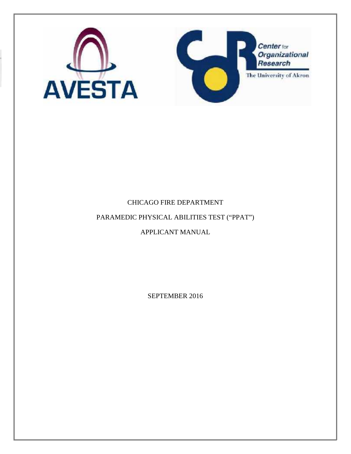

# CHICAGO FIRE DEPARTMENT

# PARAMEDIC PHYSICAL ABILITIES TEST ("PPAT")

# APPLICANT MANUAL

SEPTEMBER 2016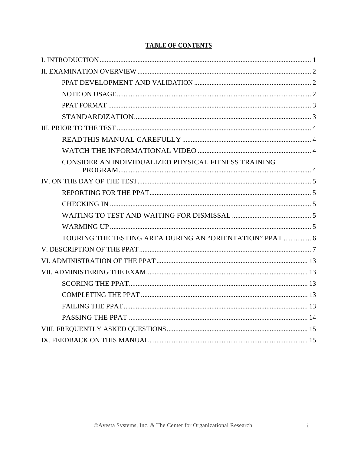| CONSIDER AN INDIVIDUALIZED PHYSICAL FITNESS TRAINING     |  |
|----------------------------------------------------------|--|
|                                                          |  |
|                                                          |  |
|                                                          |  |
|                                                          |  |
|                                                          |  |
| TOURING THE TESTING AREA DURING AN "ORIENTATION" PPAT  6 |  |
|                                                          |  |
|                                                          |  |
|                                                          |  |
|                                                          |  |
|                                                          |  |
|                                                          |  |
|                                                          |  |
|                                                          |  |
|                                                          |  |

# **TABLE OF CONTENTS**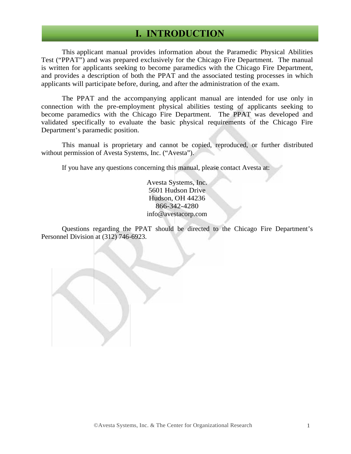# **I. INTRODUCTION**

This applicant manual provides information about the Paramedic Physical Abilities Test ("PPAT") and was prepared exclusively for the Chicago Fire Department. The manual is written for applicants seeking to become paramedics with the Chicago Fire Department, and provides a description of both the PPAT and the associated testing processes in which applicants will participate before, during, and after the administration of the exam.

The PPAT and the accompanying applicant manual are intended for use only in connection with the pre-employment physical abilities testing of applicants seeking to become paramedics with the Chicago Fire Department. The PPAT was developed and validated specifically to evaluate the basic physical requirements of the Chicago Fire Department's paramedic position.

This manual is proprietary and cannot be copied, reproduced, or further distributed without permission of Avesta Systems, Inc. ("Avesta").

If you have any questions concerning this manual, please contact Avesta at:

Avesta Systems, Inc. 5601 Hudson Drive Hudson, OH 44236 866-342-4280 info@avestacorp.com

Questions regarding the PPAT should be directed to the Chicago Fire Department's Personnel Division at (312) 746-6923.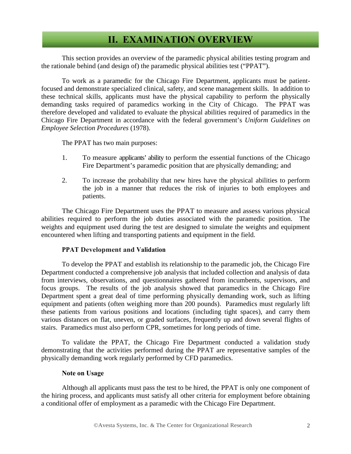# **II. EXAMINATION OVERVIEW**

This section provides an overview of the paramedic physical abilities testing program and the rationale behind (and design of) the paramedic physical abilities test ("PPAT").

To work as a paramedic for the Chicago Fire Department, applicants must be patientfocused and demonstrate specialized clinical, safety, and scene management skills. In addition to these technical skills, applicants must have the physical capability to perform the physically demanding tasks required of paramedics working in the City of Chicago. The PPAT was therefore developed and validated to evaluate the physical abilities required of paramedics in the Chicago Fire Department in accordance with the federal government's *Uniform Guidelines on Employee Selection Procedures* (1978).

The PPAT has two main purposes:

- 1. To measure applicants' ability to perform the essential functions of the Chicago Fire Department's paramedic position that are physically demanding; and
- 2. To increase the probability that new hires have the physical abilities to perform the job in a manner that reduces the risk of injuries to both employees and patients.

The Chicago Fire Department uses the PPAT to measure and assess various physical abilities required to perform the job duties associated with the paramedic position. The weights and equipment used during the test are designed to simulate the weights and equipment encountered when lifting and transporting patients and equipment in the field.

## **PPAT Development and Validation**

To develop the PPAT and establish its relationship to the paramedic job, the Chicago Fire Department conducted a comprehensive job analysis that included collection and analysis of data from interviews, observations, and questionnaires gathered from incumbents, supervisors, and focus groups. The results of the job analysis showed that paramedics in the Chicago Fire Department spent a great deal of time performing physically demanding work, such as lifting equipment and patients (often weighing more than 200 pounds). Paramedics must regularly lift these patients from various positions and locations (including tight spaces), and carry them various distances on flat, uneven, or graded surfaces, frequently up and down several flights of stairs. Paramedics must also perform CPR, sometimes for long periods of time.

To validate the PPAT, the Chicago Fire Department conducted a validation study demonstrating that the activities performed during the PPAT are representative samples of the physically demanding work regularly performed by CFD paramedics.

### **Note on Usage**

Although all applicants must pass the test to be hired, the PPAT is only one component of the hiring process, and applicants must satisfy all other criteria for employment before obtaining a conditional offer of employment as a paramedic with the Chicago Fire Department.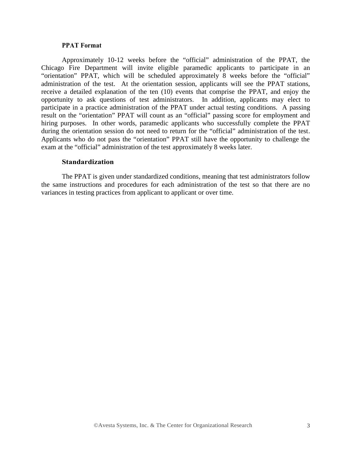#### **PPAT Format**

Approximately 10-12 weeks before the "official" administration of the PPAT, the Chicago Fire Department will invite eligible paramedic applicants to participate in an "orientation" PPAT, which will be scheduled approximately 8 weeks before the "official" administration of the test. At the orientation session, applicants will see the PPAT stations, receive a detailed explanation of the ten (10) events that comprise the PPAT, and enjoy the opportunity to ask questions of test administrators. In addition, applicants may elect to participate in a practice administration of the PPAT under actual testing conditions. A passing result on the "orientation" PPAT will count as an "official" passing score for employment and hiring purposes. In other words, paramedic applicants who successfully complete the PPAT during the orientation session do not need to return for the "official" administration of the test. Applicants who do not pass the "orientation" PPAT still have the opportunity to challenge the exam at the "official" administration of the test approximately 8 weeks later.

#### **Standardization**

The PPAT is given under standardized conditions, meaning that test administrators follow the same instructions and procedures for each administration of the test so that there are no variances in testing practices from applicant to applicant or over time.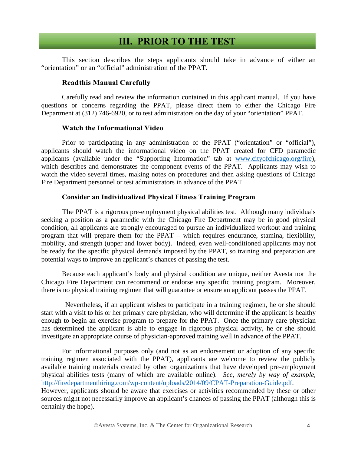# **III. PRIOR TO THE TEST**

This section describes the steps applicants should take in advance of either an "orientation" or an "official" administration of the PPAT.

### **Readthis Manual Carefully**

Carefully read and review the information contained in this applicant manual. If you have questions or concerns regarding the PPAT, please direct them to either the Chicago Fire Department at (312) 746-6920, or to test administrators on the day of your "orientation" PPAT.

### **Watch the Informational Video**

Prior to participating in any administration of the PPAT ("orientation" or "official"), applicants should watch the informational video on the PPAT created for CFD paramedic applicants (available under the "Supporting Information" tab at www.cityofchicago.org/fire), which describes and demonstrates the component events of the PPAT. Applicants may wish to watch the video several times, making notes on procedures and then asking questions of Chicago Fire Department personnel or test administrators in advance of the PPAT.

#### **Consider an Individualized Physical Fitness Training Program**

The PPAT is a rigorous pre-employment physical abilities test. Although many individuals seeking a position as a paramedic with the Chicago Fire Department may be in good physical condition, all applicants are strongly encouraged to pursue an individualized workout and training program that will prepare them for the PPAT – which requires endurance, stamina, flexibility, mobility, and strength (upper and lower body). Indeed, even well-conditioned applicants may not be ready for the specific physical demands imposed by the PPAT, so training and preparation are potential ways to improve an applicant's chances of passing the test.

Because each applicant's body and physical condition are unique, neither Avesta nor the Chicago Fire Department can recommend or endorse any specific training program. Moreover, there is no physical training regimen that will guarantee or ensure an applicant passes the PPAT.

Nevertheless, if an applicant wishes to participate in a training regimen, he or she should start with a visit to his or her primary care physician, who will determine if the applicant is healthy enough to begin an exercise program to prepare for the PPAT. Once the primary care physician has determined the applicant is able to engage in rigorous physical activity, he or she should investigate an appropriate course of physician-approved training well in advance of the PPAT.

For informational purposes only (and not as an endorsement or adoption of any specific training regimen associated with the PPAT), applicants are welcome to review the publicly available training materials created by other organizations that have developed pre-employment physical abilities tests (many of which are available online). *See, merely by way of example,* http://firedepartmenthiring.com/wp-content/uploads/2014/09/CPAT-Preparation-Guide.pdf. However, applicants should be aware that exercises or activities recommended by these or other sources might not necessarily improve an applicant's chances of passing the PPAT (although this is certainly the hope).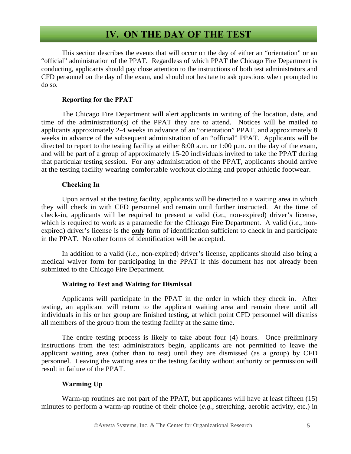# **IV. ON THE DAY OF THE TEST**

This section describes the events that will occur on the day of either an "orientation" or an "official" administration of the PPAT. Regardless of which PPAT the Chicago Fire Department is conducting, applicants should pay close attention to the instructions of both test administrators and CFD personnel on the day of the exam, and should not hesitate to ask questions when prompted to do so.

### **Reporting for the PPAT**

The Chicago Fire Department will alert applicants in writing of the location, date, and time of the administration(s) of the PPAT they are to attend. Notices will be mailed to applicants approximately 2-4 weeks in advance of an "orientation" PPAT, and approximately 8 weeks in advance of the subsequent administration of an "official" PPAT. Applicants will be directed to report to the testing facility at either 8:00 a.m. or 1:00 p.m. on the day of the exam, and will be part of a group of approximately 15-20 individuals invited to take the PPAT during that particular testing session. For any administration of the PPAT, applicants should arrive at the testing facility wearing comfortable workout clothing and proper athletic footwear.

### **Checking In**

Upon arrival at the testing facility, applicants will be directed to a waiting area in which they will check in with CFD personnel and remain until further instructed. At the time of check-in, applicants will be required to present a valid (*i.e.*, non-expired) driver's license, which is required to work as a paramedic for the Chicago Fire Department. A valid (*i.e.*, non expired) driver's license is the *only* form of identification sufficient to check in and participate in the PPAT. No other forms of identification will be accepted.

In addition to a valid (*i.e.*, non-expired) driver's license, applicants should also bring a medical waiver form for participating in the PPAT if this document has not already been submitted to the Chicago Fire Department.

### **Waiting to Test and Waiting for Dismissal**

Applicants will participate in the PPAT in the order in which they check in. After testing, an applicant will return to the applicant waiting area and remain there until all individuals in his or her group are finished testing, at which point CFD personnel will dismiss all members of the group from the testing facility at the same time.

The entire testing process is likely to take about four (4) hours. Once preliminary instructions from the test administrators begin, applicants are not permitted to leave the applicant waiting area (other than to test) until they are dismissed (as a group) by CFD personnel. Leaving the waiting area or the testing facility without authority or permission will result in failure of the PPAT.

### **Warming Up**

Warm-up routines are not part of the PPAT, but applicants will have at least fifteen (15) minutes to perform a warm-up routine of their choice (*e.g.*, stretching, aerobic activity, etc.) in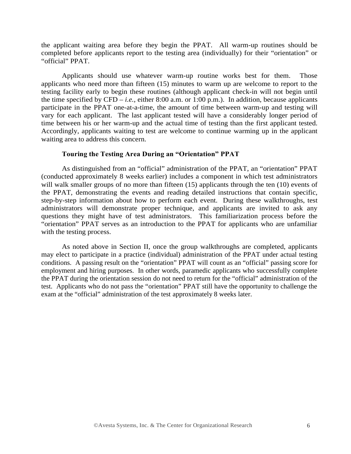the applicant waiting area before they begin the PPAT. All warm-up routines should be completed before applicants report to the testing area (individually) for their "orientation" or "official" PPAT.

Applicants should use whatever warm-up routine works best for them. Those applicants who need more than fifteen (15) minutes to warm up are welcome to report to the testing facility early to begin these routines (although applicant check-in will not begin until the time specified by CFD – *i.e.*, either 8:00 a.m. or 1:00 p.m.). In addition, because applicants participate in the PPAT one-at-a-time, the amount of time between warm-up and testing will vary for each applicant. The last applicant tested will have a considerably longer period of time between his or her warm-up and the actual time of testing than the first applicant tested. Accordingly, applicants waiting to test are welcome to continue warming up in the applicant waiting area to address this concern.

### **Touring the Testing Area During an "Orientation" PPAT**

As distinguished from an "official" administration of the PPAT, an "orientation" PPAT (conducted approximately 8 weeks earlier) includes a component in which test administrators will walk smaller groups of no more than fifteen (15) applicants through the ten (10) events of the PPAT, demonstrating the events and reading detailed instructions that contain specific, step-by-step information about how to perform each event. During these walkthroughs, test administrators will demonstrate proper technique, and applicants are invited to ask any questions they might have of test administrators. This familiarization process before the "orientation" PPAT serves as an introduction to the PPAT for applicants who are unfamiliar with the testing process.

As noted above in Section II, once the group walkthroughs are completed, applicants may elect to participate in a practice (individual) administration of the PPAT under actual testing conditions. A passing result on the "orientation" PPAT will count as an "official" passing score for employment and hiring purposes. In other words, paramedic applicants who successfully complete the PPAT during the orientation session do not need to return for the "official" administration of the test. Applicants who do not pass the "orientation" PPAT still have the opportunity to challenge the exam at the "official" administration of the test approximately 8 weeks later.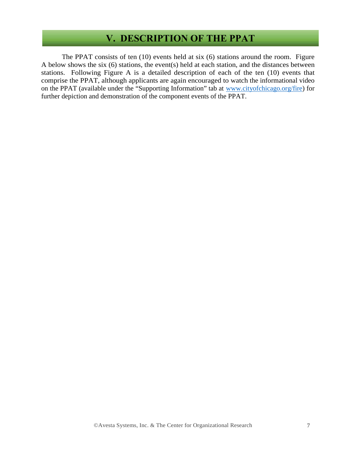# **V. DESCRIPTION OF THE PPAT**

The PPAT consists of ten (10) events held at six (6) stations around the room. Figure A below shows the six (6) stations, the event(s) held at each station, and the distances between stations. Following Figure A is a detailed description of each of the ten (10) events that comprise the PPAT, although applicants are again encouraged to watch the informational video on the PPAT (available under the "Supporting Information" tab at www.cityofchicago.org/fire) for further depiction and demonstration of the component events of the PPAT.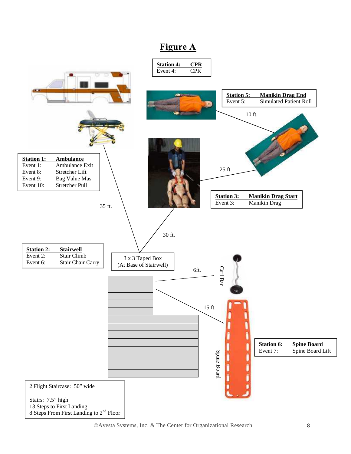# **Figure A**

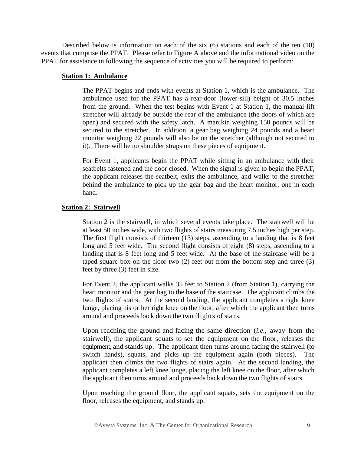Described below is information on each of the six (6) stations and each of the ten (10) events that comprise the PPAT. Please refer to Figure A above and the informational video on the PPAT for assistance in following the sequence of activities you will be required to perform:

#### **Station 1: Ambulance**

The PPAT begins and ends with events at Station 1, which is the ambulance. The ambulance used for the PPAT has a rear-door (lower-sill) height of 30.5 inches from the ground. When the test begins with Event 1 at Station 1, the manual lift stretcher will already be outside the rear of the ambulance (the doors of which are open) and secured with the safety latch. A manikin weighing 150 pounds will be secured to the stretcher. In addition, a gear bag weighing 24 pounds and a heart monitor weighing 22 pounds will also be on the stretcher (although not secured to it). There will be no shoulder straps on these pieces of equipment.

For Event 1, applicants begin the PPAT while sitting in an ambulance with their seatbelts fastened and the door closed. When the signal is given to begin the PPAT, the applicant releases the seatbelt, exits the ambulance, and walks to the stretcher behind the ambulance to pick up the gear bag and the heart monitor, one in each hand.

### **Station 2: Stairwell**

Station 2 is the stairwell, in which several events take place. The stairwell will be at least 50 inches wide, with two flights of stairs measuring 7.5 inches high per step. The first flight consists of thirteen (13) steps, ascending to a landing that is 8 feet long and 5 feet wide. The second flight consists of eight (8) steps, ascending to a landing that is 8 feet long and 5 feet wide. At the base of the staircase will be a taped square box on the floor two (2) feet out from the bottom step and three (3) feet by three (3) feet in size.

For Event 2, the applicant walks 35 feet to Station 2 (from Station 1), carrying the heart monitor and the gear bag to the base of the staircase. The applicant climbs the two flights of stairs. At the second landing, the applicant completes a right knee lunge, placing his or her right knee on the floor, after which the applicant then turns around and proceeds back down the two flights of stairs.

Upon reaching the ground and facing the same direction (*i.e.*, away from the stairwell), the applicant squats to set the equipment on the floor, releases the equipment, and stands up. The applicant then turns around facing the stairwell (to switch hands), squats, and picks up the equipment again (both pieces). The applicant then climbs the two flights of stairs again. At the second landing, the applicant completes a left knee lunge, placing the left knee on the floor, after which the applicant then turns around and proceeds back down the two flights of stairs.

Upon reaching the ground floor, the applicant squats, sets the equipment on the floor, releases the equipment, and stands up.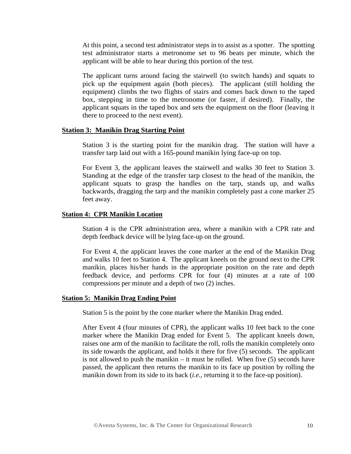At this point, a second test administrator steps in to assist as a spotter. The spotting test administrator starts a metronome set to 96 beats per minute, which the applicant will be able to hear during this portion of the test.

The applicant turns around facing the stairwell (to switch hands) and squats to pick up the equipment again (both pieces). The applicant (still holding the equipment) climbs the two flights of stairs and comes back down to the taped box, stepping in time to the metronome (or faster, if desired). Finally, the applicant squats in the taped box and sets the equipment on the floor (leaving it there to proceed to the next event).

#### **Station 3: Manikin Drag Starting Point**

Station 3 is the starting point for the manikin drag. The station will have a transfer tarp laid out with a 165-pound manikin lying face-up on top.

For Event 3, the applicant leaves the stairwell and walks 30 feet to Station 3. Standing at the edge of the transfer tarp closest to the head of the manikin, the applicant squats to grasp the handles on the tarp, stands up, and walks backwards, dragging the tarp and the manikin completely past a cone marker 25 feet away.

#### **Station 4: CPR Manikin Location**

Station 4 is the CPR administration area, where a manikin with a CPR rate and depth feedback device will be lying face-up on the ground.

For Event 4, the applicant leaves the cone marker at the end of the Manikin Drag and walks 10 feet to Station 4. The applicant kneels on the ground next to the CPR manikin, places his/her hands in the appropriate position on the rate and depth feedback device, and performs CPR for four (4) minutes at a rate of 100 compressions per minute and a depth of two (2) inches.

#### **Station 5: Manikin Drag Ending Point**

Station 5 is the point by the cone marker where the Manikin Drag ended.

After Event 4 (four minutes of CPR), the applicant walks 10 feet back to the cone marker where the Manikin Drag ended for Event 5. The applicant kneels down, raises one arm of the manikin to facilitate the roll, rolls the manikin completely onto its side towards the applicant, and holds it there for five (5) seconds. The applicant is not allowed to push the manikin – it must be rolled. When five  $(5)$  seconds have passed, the applicant then returns the manikin to its face up position by rolling the manikin down from its side to its back (*i.e.*, returning it to the face-up position).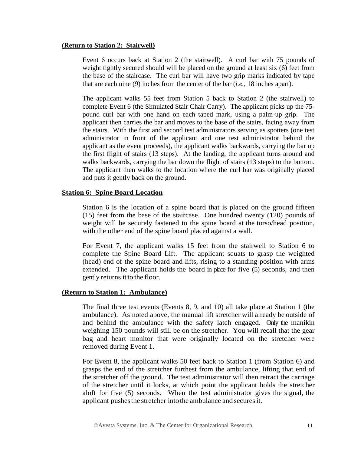### **(Return to Station 2: Stairwell)**

Event 6 occurs back at Station 2 (the stairwell). A curl bar with 75 pounds of weight tightly secured should will be placed on the ground at least six (6) feet from the base of the staircase. The curl bar will have two grip marks indicated by tape that are each nine (9) inches from the center of the bar (*i.e.*, 18 inches apart).

The applicant walks 55 feet from Station 5 back to Station 2 (the stairwell) to complete Event 6 (the Simulated Stair Chair Carry). The applicant picks up the 75 pound curl bar with one hand on each taped mark, using a palm-up grip. The applicant then carries the bar and moves to the base of the stairs, facing away from the stairs. With the first and second test administrators serving as spotters (one test administrator in front of the applicant and one test administrator behind the applicant as the event proceeds), the applicant walks backwards, carrying the bar up the first flight of stairs (13 steps). At the landing, the applicant turns around and walks backwards, carrying the bar down the flight of stairs (13 steps) to the bottom. The applicant then walks to the location where the curl bar was originally placed and puts it gently back on the ground.

## **Station 6: Spine Board Location**

Station 6 is the location of a spine board that is placed on the ground fifteen (15) feet from the base of the staircase. One hundred twenty (120) pounds of weight will be securely fastened to the spine board at the torso/head position, with the other end of the spine board placed against a wall.

For Event 7, the applicant walks 15 feet from the stairwell to Station 6 to complete the Spine Board Lift. The applicant squats to grasp the weighted (head) end of the spine board and lifts, rising to a standing position with arms extended. The applicant holds the board in place for five (5) seconds, and then gently returns it to the floor.

## **(Return to Station 1: Ambulance)**

The final three test events (Events 8, 9, and 10) all take place at Station 1 (the ambulance). As noted above, the manual lift stretcher will already be outside of and behind the ambulance with the safety latch engaged. Only the manikin weighing 150 pounds will still be on the stretcher. You will recall that the gear bag and heart monitor that were originally located on the stretcher were removed during Event 1.

For Event 8, the applicant walks 50 feet back to Station 1 (from Station 6) and grasps the end of the stretcher furthest from the ambulance, lifting that end of the stretcher off the ground. The test administrator will then retract the carriage of the stretcher until it locks, at which point the applicant holds the stretcher aloft for five (5) seconds. When the test administrator gives the signal, the applicant pushes the stretcher into the ambulance and secures it.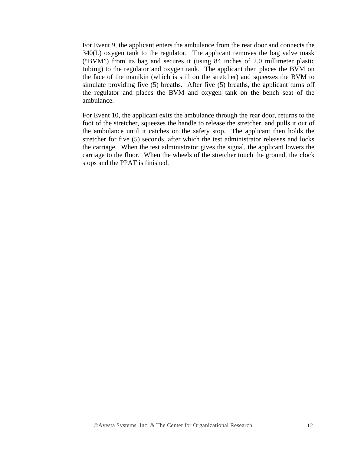For Event 9, the applicant enters the ambulance from the rear door and connects the 340(L) oxygen tank to the regulator. The applicant removes the bag valve mask ("BVM") from its bag and secures it (using 84 inches of 2.0 millimeter plastic tubing) to the regulator and oxygen tank. The applicant then places the BVM on the face of the manikin (which is still on the stretcher) and squeezes the BVM to simulate providing five (5) breaths. After five (5) breaths, the applicant turns off the regulator and places the BVM and oxygen tank on the bench seat of the ambulance.

For Event 10, the applicant exits the ambulance through the rear door, returns to the foot of the stretcher, squeezes the handle to release the stretcher, and pulls it out of the ambulance until it catches on the safety stop. The applicant then holds the stretcher for five (5) seconds, after which the test administrator releases and locks the carriage. When the test administrator gives the signal, the applicant lowers the carriage to the floor. When the wheels of the stretcher touch the ground, the clock stops and the PPAT is finished.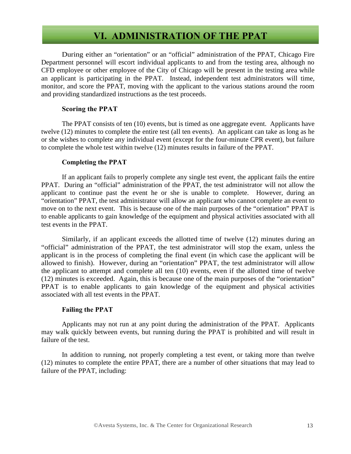# **VI. ADMINISTRATION OF THE PPAT**

During either an "orientation" or an "official" administration of the PPAT, Chicago Fire Department personnel will escort individual applicants to and from the testing area, although no CFD employee or other employee of the City of Chicago will be present in the testing area while an applicant is participating in the PPAT. Instead, independent test administrators will time, monitor, and score the PPAT, moving with the applicant to the various stations around the room and providing standardized instructions as the test proceeds.

### **Scoring the PPAT**

The PPAT consists of ten (10) events, but is timed as one aggregate event. Applicants have twelve (12) minutes to complete the entire test (all ten events). An applicant can take as long as he or she wishes to complete any individual event (except for the four-minute CPR event), but failure to complete the whole test within twelve (12) minutes results in failure of the PPAT.

### **Completing the PPAT**

If an applicant fails to properly complete any single test event, the applicant fails the entire PPAT. During an "official" administration of the PPAT, the test administrator will not allow the applicant to continue past the event he or she is unable to complete. However, during an "orientation" PPAT, the test administrator will allow an applicant who cannot complete an event to move on to the next event. This is because one of the main purposes of the "orientation" PPAT is to enable applicants to gain knowledge of the equipment and physical activities associated with all test events in the PPAT.

Similarly, if an applicant exceeds the allotted time of twelve (12) minutes during an "official" administration of the PPAT, the test administrator will stop the exam, unless the applicant is in the process of completing the final event (in which case the applicant will be allowed to finish). However, during an "orientation" PPAT, the test administrator will allow the applicant to attempt and complete all ten (10) events, even if the allotted time of twelve (12) minutes is exceeded. Again, this is because one of the main purposes of the "orientation" PPAT is to enable applicants to gain knowledge of the equipment and physical activities associated with all test events in the PPAT.

## **Failing the PPAT**

Applicants may not run at any point during the administration of the PPAT. Applicants may walk quickly between events, but running during the PPAT is prohibited and will result in failure of the test.

In addition to running, not properly completing a test event, or taking more than twelve (12) minutes to complete the entire PPAT, there are a number of other situations that may lead to failure of the PPAT, including: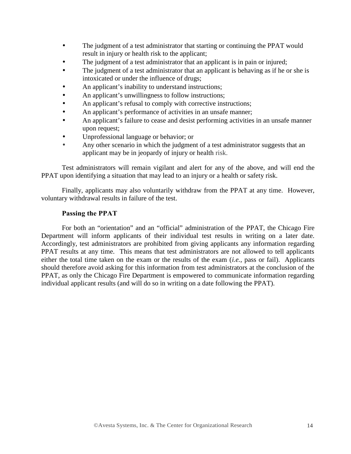- The judgment of a test administrator that starting or continuing the PPAT would result in injury or health risk to the applicant;
- The judgment of a test administrator that an applicant is in pain or injured;
- The judgment of a test administrator that an applicant is behaving as if he or she is intoxicated or under the influence of drugs;
- An applicant's inability to understand instructions;
- An applicant's unwillingness to follow instructions;
- An applicant's refusal to comply with corrective instructions;
- An applicant's performance of activities in an unsafe manner;
- An applicant's failure to cease and desist performing activities in an unsafe manner upon request;
- Unprofessional language or behavior; or
- Any other scenario in which the judgment of a test administrator suggests that an applicant may be in jeopardy of injury or health risk.

Test administrators will remain vigilant and alert for any of the above, and will end the PPAT upon identifying a situation that may lead to an injury or a health or safety risk.

Finally, applicants may also voluntarily withdraw from the PPAT at any time. However, voluntary withdrawal results in failure of the test.

## **Passing the PPAT**

For both an "orientation" and an "official" administration of the PPAT, the Chicago Fire Department will inform applicants of their individual test results in writing on a later date. Accordingly, test administrators are prohibited from giving applicants any information regarding PPAT results at any time. This means that test administrators are not allowed to tell applicants either the total time taken on the exam or the results of the exam (*i.e.*, pass or fail). Applicants should therefore avoid asking for this information from test administrators at the conclusion of the PPAT, as only the Chicago Fire Department is empowered to communicate information regarding individual applicant results (and will do so in writing on a date following the PPAT).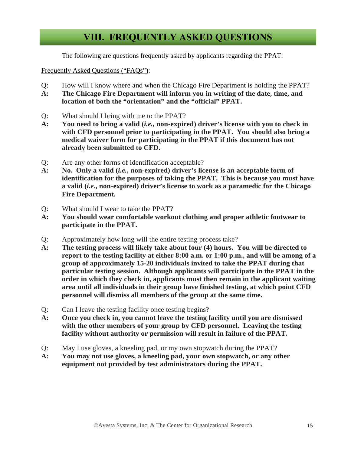# **VIII. FREQUENTLY ASKED QUESTIONS**

The following are questions frequently asked by applicants regarding the PPAT:

Frequently Asked Questions ("FAQs"):

- Q: How will I know where and when the Chicago Fire Department is holding the PPAT?
- **A: The Chicago Fire Department will inform you in writing of the date, time, and location of both the "orientation" and the "official" PPAT.**
- Q: What should I bring with me to the PPAT?
- **A: You need to bring a valid (***i.e.***, non-expired) driver's license with you to check in with CFD personnel prior to participating in the PPAT. You should also bring a medical waiver form for participating in the PPAT if this document has not already been submitted to CFD.**
- Q: Are any other forms of identification acceptable?
- **A: No. Only a valid (***i.e.***, non-expired) driver's license is an acceptable form of identification for the purposes of taking the PPAT. This is because you must have a valid (***i.e.***, non-expired) driver's license to work as a paramedic for the Chicago Fire Department.**
- Q: What should I wear to take the PPAT?
- **A: You should wear comfortable workout clothing and proper athletic footwear to participate in the PPAT.**
- Q: Approximately how long will the entire testing process take?
- **A: The testing process will likely take about four (4) hours. You will be directed to report to the testing facility at either 8:00 a.m. or 1:00 p.m., and will be among of a group of approximately 15-20 individuals invited to take the PPAT during that particular testing session. Although applicants will participate in the PPAT in the order in which they check in, applicants must then remain in the applicant waiting area until all individuals in their group have finished testing, at which point CFD personnel will dismiss all members of the group at the same time.**
- Q: Can I leave the testing facility once testing begins?
- **A: Once you check in, you cannot leave the testing facility until you are dismissed with the other members of your group by CFD personnel. Leaving the testing facility without authority or permission will result in failure of the PPAT.**
- Q: May I use gloves, a kneeling pad, or my own stopwatch during the PPAT?
- **A: You may not use gloves, a kneeling pad, your own stopwatch, or any other equipment not provided by test administrators during the PPAT.**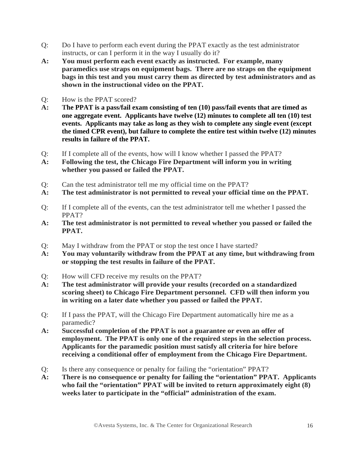- Q: Do I have to perform each event during the PPAT exactly as the test administrator instructs, or can I perform it in the way I usually do it?
- **A: You must perform each event exactly as instructed. For example, many paramedics use straps on equipment bags. There are no straps on the equipment bags in this test and you must carry them as directed by test administrators and as shown in the instructional video on the PPAT.**
- Q: How is the PPAT scored?
- **A: The PPAT is a pass/fail exam consisting of ten (10) pass/fail events that are timed as one aggregate event. Applicants have twelve (12) minutes to complete all ten (10) test events. Applicants may take as long as they wish to complete any single event (except the timed CPR event), but failure to complete the entire test within twelve (12) minutes results in failure of the PPAT.**
- Q: If I complete all of the events, how will I know whether I passed the PPAT?
- **A: Following the test, the Chicago Fire Department will inform you in writing whether you passed or failed the PPAT.**
- Q: Can the test administrator tell me my official time on the PPAT?
- **A: The test administrator is not permitted to reveal your official time on the PPAT.**
- Q: If I complete all of the events, can the test administrator tell me whether I passed the PPAT?
- **A: The test administrator is not permitted to reveal whether you passed or failed the PPAT.**
- Q: May I withdraw from the PPAT or stop the test once I have started?
- **A: You may voluntarily withdraw from the PPAT at any time, but withdrawing from or stopping the test results in failure of the PPAT.**
- Q: How will CFD receive my results on the PPAT?
- **A: The test administrator will provide your results (recorded on a standardized scoring sheet) to Chicago Fire Department personnel. CFD will then inform you in writing on a later date whether you passed or failed the PPAT.**
- Q: If I pass the PPAT, will the Chicago Fire Department automatically hire me as a paramedic?
- **A: Successful completion of the PPAT is not a guarantee or even an offer of employment. The PPAT is only one of the required steps in the selection process. Applicants for the paramedic position must satisfy all criteria for hire before receiving a conditional offer of employment from the Chicago Fire Department.**
- Q: Is there any consequence or penalty for failing the "orientation" PPAT?
- **A: There is no consequence or penalty for failing the "orientation" PPAT. Applicants who fail the "orientation" PPAT will be invited to return approximately eight (8) weeks later to participate in the "official" administration of the exam.**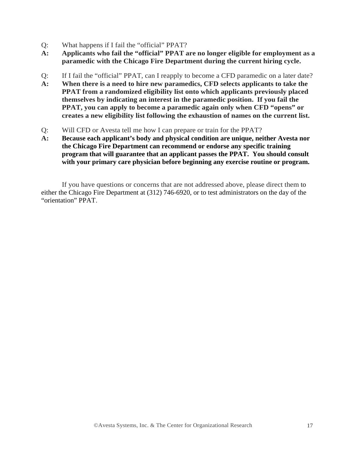- Q: What happens if I fail the "official" PPAT?
- **A: Applicants who fail the "official" PPAT are no longer eligible for employment as a paramedic with the Chicago Fire Department during the current hiring cycle.**
- Q: If I fail the "official" PPAT, can I reapply to become a CFD paramedic on a later date?
- **A: When there is a need to hire new paramedics, CFD selects applicants to take the PPAT from a randomized eligibility list onto which applicants previously placed themselves by indicating an interest in the paramedic position. If you fail the PPAT, you can apply to become a paramedic again only when CFD "opens" or creates a new eligibility list following the exhaustion of names on the current list.**
- Q: Will CFD or Avesta tell me how I can prepare or train for the PPAT?
- **A: Because each applicant's body and physical condition are unique, neither Avesta nor the Chicago Fire Department can recommend or endorse any specific training program that will guarantee that an applicant passes the PPAT. You should consult with your primary care physician before beginning any exercise routine or program.**

If you have questions or concerns that are not addressed above, please direct them to either the Chicago Fire Department at (312) 746-6920, or to test administrators on the day of the "orientation" PPAT.